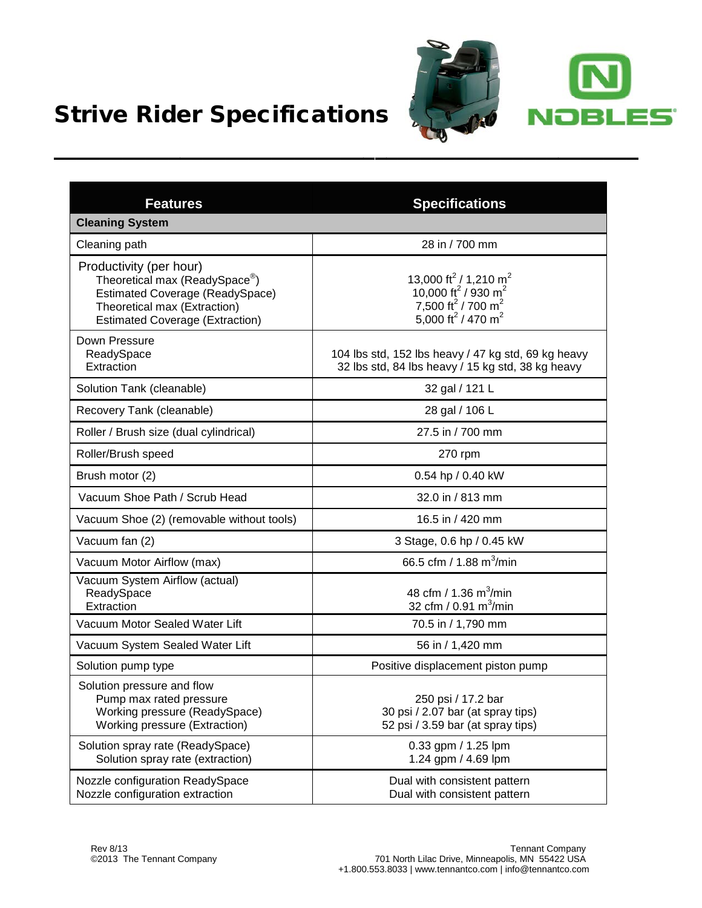



| <b>Features</b>                                                                                                                                                                           | <b>Specifications</b>                                                                                                                                                                    |
|-------------------------------------------------------------------------------------------------------------------------------------------------------------------------------------------|------------------------------------------------------------------------------------------------------------------------------------------------------------------------------------------|
| <b>Cleaning System</b>                                                                                                                                                                    |                                                                                                                                                                                          |
| Cleaning path                                                                                                                                                                             | 28 in / 700 mm                                                                                                                                                                           |
| Productivity (per hour)<br>Theoretical max (ReadySpace <sup>®</sup> )<br><b>Estimated Coverage (ReadySpace)</b><br>Theoretical max (Extraction)<br><b>Estimated Coverage (Extraction)</b> | 13,000 ft <sup>2</sup> / 1,210 m <sup>2</sup><br>10,000 ft <sup>2</sup> / 930 m <sup>2</sup><br>7,500 ft <sup>2</sup> / 700 m <sup>2</sup><br>5,000 ft <sup>2</sup> / 470 m <sup>2</sup> |
| Down Pressure<br>ReadySpace<br>Extraction                                                                                                                                                 | 104 lbs std, 152 lbs heavy / 47 kg std, 69 kg heavy<br>32 lbs std, 84 lbs heavy / 15 kg std, 38 kg heavy                                                                                 |
| Solution Tank (cleanable)                                                                                                                                                                 | 32 gal / 121 L                                                                                                                                                                           |
| Recovery Tank (cleanable)                                                                                                                                                                 | 28 gal / 106 L                                                                                                                                                                           |
| Roller / Brush size (dual cylindrical)                                                                                                                                                    | 27.5 in / 700 mm                                                                                                                                                                         |
| Roller/Brush speed                                                                                                                                                                        | 270 rpm                                                                                                                                                                                  |
| Brush motor (2)                                                                                                                                                                           | 0.54 hp / 0.40 kW                                                                                                                                                                        |
| Vacuum Shoe Path / Scrub Head                                                                                                                                                             | 32.0 in / 813 mm                                                                                                                                                                         |
| Vacuum Shoe (2) (removable without tools)                                                                                                                                                 | 16.5 in / 420 mm                                                                                                                                                                         |
| Vacuum fan (2)                                                                                                                                                                            | 3 Stage, 0.6 hp / 0.45 kW                                                                                                                                                                |
| Vacuum Motor Airflow (max)                                                                                                                                                                | 66.5 cfm / 1.88 m <sup>3</sup> /min                                                                                                                                                      |
| Vacuum System Airflow (actual)<br>ReadySpace<br>Extraction                                                                                                                                | 48 cfm / 1.36 m <sup>3</sup> /min<br>32 cfm / $0.91 \text{ m}^3/\text{min}$                                                                                                              |
| Vacuum Motor Sealed Water Lift                                                                                                                                                            | 70.5 in / 1,790 mm                                                                                                                                                                       |
| Vacuum System Sealed Water Lift                                                                                                                                                           | 56 in / 1,420 mm                                                                                                                                                                         |
| Solution pump type                                                                                                                                                                        | Positive displacement piston pump                                                                                                                                                        |
| Solution pressure and flow<br>Pump max rated pressure<br>Working pressure (ReadySpace)<br>Working pressure (Extraction)                                                                   | 250 psi / 17.2 bar<br>30 psi / 2.07 bar (at spray tips)<br>52 psi / 3.59 bar (at spray tips)                                                                                             |
| Solution spray rate (ReadySpace)<br>Solution spray rate (extraction)                                                                                                                      | 0.33 gpm / 1.25 lpm<br>1.24 gpm / 4.69 lpm                                                                                                                                               |
| Nozzle configuration ReadySpace<br>Nozzle configuration extraction                                                                                                                        | Dual with consistent pattern<br>Dual with consistent pattern                                                                                                                             |